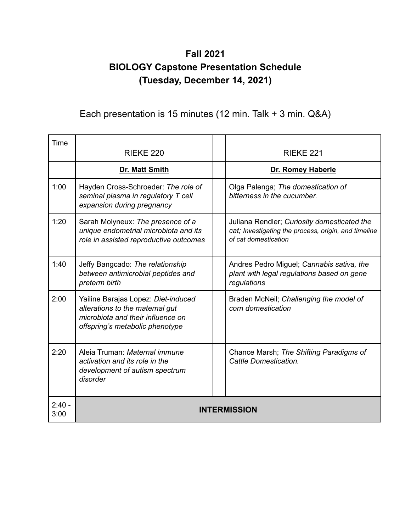## **Fall 2021 BIOLOGY Capstone Presentation Schedule (Tuesday, December 14, 2021)**

## Each presentation is 15 minutes (12 min. Talk + 3 min. Q&A)

| Time             | <b>RIEKE 220</b>                                                                                                                               |  | RIEKE <sub>221</sub>                                                                                                        |
|------------------|------------------------------------------------------------------------------------------------------------------------------------------------|--|-----------------------------------------------------------------------------------------------------------------------------|
|                  | <b>Dr. Matt Smith</b>                                                                                                                          |  | Dr. Romey Haberle                                                                                                           |
| 1:00             | Hayden Cross-Schroeder: The role of<br>seminal plasma in regulatory T cell<br>expansion during pregnancy                                       |  | Olga Palenga; The domestication of<br>bitterness in the cucumber.                                                           |
| 1:20             | Sarah Molyneux: The presence of a<br>unique endometrial microbiota and its<br>role in assisted reproductive outcomes                           |  | Juliana Rendler; Curiosity domesticated the<br>cat; Investigating the process, origin, and timeline<br>of cat domestication |
| 1:40             | Jeffy Bangcado: The relationship<br>between antimicrobial peptides and<br>preterm birth                                                        |  | Andres Pedro Miguel; Cannabis sativa, the<br>plant with legal regulations based on gene<br>regulations                      |
| 2:00             | Yailine Barajas Lopez: Diet-induced<br>alterations to the maternal gut<br>microbiota and their influence on<br>offspring's metabolic phenotype |  | Braden McNeil; Challenging the model of<br>corn domestication                                                               |
| 2:20             | Aleia Truman: Maternal immune<br>activation and its role in the<br>development of autism spectrum<br>disorder                                  |  | Chance Marsh; The Shifting Paradigms of<br>Cattle Domestication.                                                            |
| $2:40 -$<br>3:00 | <b>INTERMISSION</b>                                                                                                                            |  |                                                                                                                             |